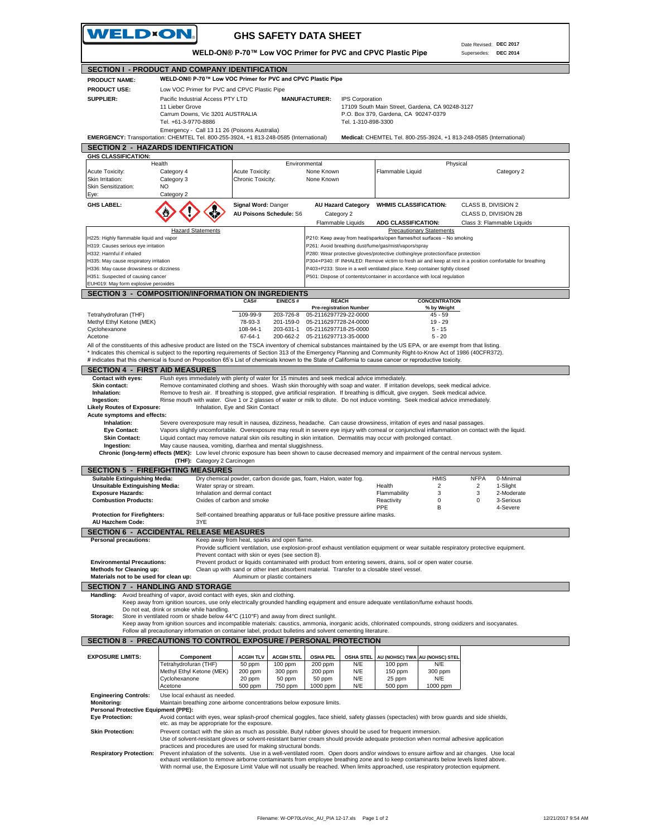| WELD×ON.                                                                  |                                                                                                                                                                                                                                                                          | <b>GHS SAFETY DATA SHEET</b>                                                                                                                                                                                                                                                     |                                                          |                                                                                                                                                                                               |                                       |                                                |                            |
|---------------------------------------------------------------------------|--------------------------------------------------------------------------------------------------------------------------------------------------------------------------------------------------------------------------------------------------------------------------|----------------------------------------------------------------------------------------------------------------------------------------------------------------------------------------------------------------------------------------------------------------------------------|----------------------------------------------------------|-----------------------------------------------------------------------------------------------------------------------------------------------------------------------------------------------|---------------------------------------|------------------------------------------------|----------------------------|
|                                                                           |                                                                                                                                                                                                                                                                          | WELD-ON® P-70™ Low VOC Primer for PVC and CPVC Plastic Pipe                                                                                                                                                                                                                      |                                                          |                                                                                                                                                                                               |                                       | Date Revised: DEC 2017<br>Supersedes: DEC 2014 |                            |
|                                                                           | SECTION I - PRODUCT AND COMPANY IDENTIFICATION                                                                                                                                                                                                                           |                                                                                                                                                                                                                                                                                  |                                                          |                                                                                                                                                                                               |                                       |                                                |                            |
| <b>PRODUCT NAME:</b>                                                      |                                                                                                                                                                                                                                                                          | WELD-ON® P-70™ Low VOC Primer for PVC and CPVC Plastic Pipe                                                                                                                                                                                                                      |                                                          |                                                                                                                                                                                               |                                       |                                                |                            |
| <b>PRODUCT USE:</b><br><b>SUPPLIER:</b>                                   | Low VOC Primer for PVC and CPVC Plastic Pipe                                                                                                                                                                                                                             |                                                                                                                                                                                                                                                                                  |                                                          |                                                                                                                                                                                               |                                       |                                                |                            |
|                                                                           | Pacific Industrial Access PTY LTD<br>11 Lieber Grove                                                                                                                                                                                                                     |                                                                                                                                                                                                                                                                                  | <b>MANUFACTURER:</b>                                     | <b>IPS Corporation</b><br>17109 South Main Street, Gardena, CA 90248-3127                                                                                                                     |                                       |                                                |                            |
|                                                                           | Carrum Downs, Vic 3201 AUSTRALIA                                                                                                                                                                                                                                         |                                                                                                                                                                                                                                                                                  |                                                          | P.O. Box 379, Gardena, CA 90247-0379                                                                                                                                                          |                                       |                                                |                            |
|                                                                           | Tel. +61-3-9770-8886<br>Emergency - Call 13 11 26 (Poisons Australia)                                                                                                                                                                                                    |                                                                                                                                                                                                                                                                                  |                                                          | Tel. 1-310-898-3300                                                                                                                                                                           |                                       |                                                |                            |
|                                                                           | EMERGENCY: Transportation: CHEMTEL Tel. 800-255-3924, +1 813-248-0585 (International)                                                                                                                                                                                    |                                                                                                                                                                                                                                                                                  |                                                          | Medical: CHEMTEL Tel. 800-255-3924, +1 813-248-0585 (International)                                                                                                                           |                                       |                                                |                            |
|                                                                           | <b>SECTION 2 - HAZARDS IDENTIFICATION</b>                                                                                                                                                                                                                                |                                                                                                                                                                                                                                                                                  |                                                          |                                                                                                                                                                                               |                                       |                                                |                            |
| <b>GHS CLASSIFICATION:</b>                                                | Health                                                                                                                                                                                                                                                                   | Environmental                                                                                                                                                                                                                                                                    |                                                          |                                                                                                                                                                                               | Physical                              |                                                |                            |
| Acute Toxicity:                                                           | Category 4                                                                                                                                                                                                                                                               | Acute Toxicity:                                                                                                                                                                                                                                                                  | None Known                                               | Flammable Liquid                                                                                                                                                                              |                                       |                                                | Category 2                 |
| Skin Irritation:                                                          | Category 3                                                                                                                                                                                                                                                               | Chronic Toxicity:                                                                                                                                                                                                                                                                | None Known                                               |                                                                                                                                                                                               |                                       |                                                |                            |
| Skin Sensitization:<br>Eye:                                               | NO.<br>Category 2                                                                                                                                                                                                                                                        |                                                                                                                                                                                                                                                                                  |                                                          |                                                                                                                                                                                               |                                       |                                                |                            |
| <b>GHS LABEL:</b>                                                         |                                                                                                                                                                                                                                                                          | Signal Word: Danger                                                                                                                                                                                                                                                              | <b>AU Hazard Category</b>                                | <b>WHMIS CLASSIFICATION:</b>                                                                                                                                                                  |                                       | CLASS B, DIVISION 2                            |                            |
|                                                                           |                                                                                                                                                                                                                                                                          | AU Poisons Schedule: S6                                                                                                                                                                                                                                                          | Category 2                                               |                                                                                                                                                                                               |                                       | CLASS D, DIVISION 2B                           |                            |
|                                                                           |                                                                                                                                                                                                                                                                          |                                                                                                                                                                                                                                                                                  | Flammable Liquids                                        | ADG CLASSIFICATION:                                                                                                                                                                           |                                       |                                                | Class 3: Flammable Liquids |
| H225: Highly flammable liquid and vapor                                   | <b>Hazard Statements</b>                                                                                                                                                                                                                                                 |                                                                                                                                                                                                                                                                                  |                                                          | P210: Keep away from heat/sparks/open flames/hot surfaces - No smoking                                                                                                                        | <b>Precautionary Statements</b>       |                                                |                            |
| H319: Causes serious eye irritation                                       |                                                                                                                                                                                                                                                                          |                                                                                                                                                                                                                                                                                  |                                                          | P261: Avoid breathing dust/fume/gas/mist/vapors/spray                                                                                                                                         |                                       |                                                |                            |
| H332: Harmful if inhaled<br>H335: May cause respiratory irritation        |                                                                                                                                                                                                                                                                          |                                                                                                                                                                                                                                                                                  |                                                          | P280: Wear protective gloves/protective clothing/eye protection/face protection<br>P304+P340: IF INHALED: Remove victim to fresh air and keep at rest in a position comfortable for breathing |                                       |                                                |                            |
| H336: May cause drowsiness or dizziness                                   |                                                                                                                                                                                                                                                                          |                                                                                                                                                                                                                                                                                  |                                                          | P403+P233: Store in a well ventilated place. Keep container tightly closed                                                                                                                    |                                       |                                                |                            |
| H351: Suspected of causing cancer                                         |                                                                                                                                                                                                                                                                          |                                                                                                                                                                                                                                                                                  |                                                          | P501: Dispose of contents/container in accordance with local regulation                                                                                                                       |                                       |                                                |                            |
| EUH019: May form explosive peroxides                                      | SECTION 3 - COMPOSITION/INFORMATION ON INGREDIENTS                                                                                                                                                                                                                       |                                                                                                                                                                                                                                                                                  |                                                          |                                                                                                                                                                                               |                                       |                                                |                            |
|                                                                           |                                                                                                                                                                                                                                                                          | CAS#<br>EINECS#                                                                                                                                                                                                                                                                  | <b>REACH</b>                                             |                                                                                                                                                                                               | <b>CONCENTRATION</b>                  |                                                |                            |
| Tetrahydrofuran (THF)                                                     |                                                                                                                                                                                                                                                                          | 203-726-8<br>109-99-9                                                                                                                                                                                                                                                            | <b>Pre-registration Number</b><br>05-2116297729-22-0000  |                                                                                                                                                                                               | % by Weight<br>$45 - 59$              |                                                |                            |
| Methyl Ethyl Ketone (MEK)                                                 |                                                                                                                                                                                                                                                                          | 78-93-3<br>201-159-0                                                                                                                                                                                                                                                             | 05-2116297728-24-0000                                    |                                                                                                                                                                                               | $19 - 29$                             |                                                |                            |
| Cyclohexanone<br>Acetone                                                  |                                                                                                                                                                                                                                                                          | 108-94-1<br>203-631-1<br>67-64-1                                                                                                                                                                                                                                                 | 05-2116297718-25-0000<br>200-662-2 05-2116297713-35-0000 |                                                                                                                                                                                               | $5 - 15$<br>$5 - 20$                  |                                                |                            |
|                                                                           | All of the constituents of this adhesive product are listed on the TSCA inventory of chemical substances maintained by the US EPA, or are exempt from that listing.                                                                                                      |                                                                                                                                                                                                                                                                                  |                                                          |                                                                                                                                                                                               |                                       |                                                |                            |
|                                                                           | * Indicates this chemical is subject to the reporting requirements of Section 313 of the Emergency Planning and Community Right-to-Know Act of 1986 (40CFR372).                                                                                                          |                                                                                                                                                                                                                                                                                  |                                                          |                                                                                                                                                                                               |                                       |                                                |                            |
|                                                                           | # indicates that this chemical is found on Proposition 65's List of chemicals known to the State of California to cause cancer or reproductive toxicity.                                                                                                                 |                                                                                                                                                                                                                                                                                  |                                                          |                                                                                                                                                                                               |                                       |                                                |                            |
| <b>SECTION 4 - FIRST AID MEASURES</b><br>Contact with eyes:               |                                                                                                                                                                                                                                                                          | Flush eyes immediately with plenty of water for 15 minutes and seek medical advice immediately.                                                                                                                                                                                  |                                                          |                                                                                                                                                                                               |                                       |                                                |                            |
| <b>Skin contact:</b>                                                      |                                                                                                                                                                                                                                                                          | Remove contaminated clothing and shoes. Wash skin thoroughly with soap and water. If irritation develops, seek medical advice.                                                                                                                                                   |                                                          |                                                                                                                                                                                               |                                       |                                                |                            |
| Inhalation:                                                               |                                                                                                                                                                                                                                                                          | Remove to fresh air. If breathing is stopped, give artificial respiration. If breathing is difficult, give oxygen. Seek medical advice.                                                                                                                                          |                                                          |                                                                                                                                                                                               |                                       |                                                |                            |
| Ingestion:<br><b>Likely Routes of Exposure:</b>                           |                                                                                                                                                                                                                                                                          | Rinse mouth with water. Give 1 or 2 glasses of water or milk to dilute. Do not induce vomiting. Seek medical advice immediately.<br>Inhalation, Eye and Skin Contact                                                                                                             |                                                          |                                                                                                                                                                                               |                                       |                                                |                            |
| Acute symptoms and effects:                                               |                                                                                                                                                                                                                                                                          |                                                                                                                                                                                                                                                                                  |                                                          |                                                                                                                                                                                               |                                       |                                                |                            |
| Inhalation:<br><b>Eye Contact:</b>                                        |                                                                                                                                                                                                                                                                          | Severe overexposure may result in nausea, dizziness, headache. Can cause drowsiness, irritation of eyes and nasal passages.<br>Vapors slightly uncomfortable. Overexposure may result in severe eye injury with corneal or conjunctival inflammation on contact with the liquid. |                                                          |                                                                                                                                                                                               |                                       |                                                |                            |
| <b>Skin Contact:</b>                                                      |                                                                                                                                                                                                                                                                          | Liquid contact may remove natural skin oils resulting in skin irritation. Dermatitis may occur with prolonged contact.                                                                                                                                                           |                                                          |                                                                                                                                                                                               |                                       |                                                |                            |
| Ingestion:                                                                |                                                                                                                                                                                                                                                                          | May cause nausea, vomiting, diarrhea and mental sluggishness.                                                                                                                                                                                                                    |                                                          |                                                                                                                                                                                               |                                       |                                                |                            |
|                                                                           | Chronic (long-term) effects (MEK): Low level chronic exposure has been shown to cause decreased memory and impairment of the central nervous system.<br>(THF): Category 2 Carcinogen                                                                                     |                                                                                                                                                                                                                                                                                  |                                                          |                                                                                                                                                                                               |                                       |                                                |                            |
|                                                                           | <b>SECTION 5 - FIREFIGHTING MEASURES</b>                                                                                                                                                                                                                                 |                                                                                                                                                                                                                                                                                  |                                                          |                                                                                                                                                                                               |                                       |                                                |                            |
| <b>Suitable Extinguishing Media:</b>                                      |                                                                                                                                                                                                                                                                          | Dry chemical powder, carbon dioxide gas, foam, Halon, water fog.                                                                                                                                                                                                                 |                                                          |                                                                                                                                                                                               | <b>HMIS</b>                           | <b>NFPA</b>                                    | 0-Minimal                  |
| <b>Unsuitable Extinguishing Media:</b><br><b>Exposure Hazards:</b>        | Water spray or stream.                                                                                                                                                                                                                                                   | Inhalation and dermal contact                                                                                                                                                                                                                                                    |                                                          | Health<br>Flammability                                                                                                                                                                        | 2<br>3                                | 2<br>3                                         | 1-Slight<br>2-Moderate     |
| <b>Combustion Products:</b>                                               |                                                                                                                                                                                                                                                                          | Oxides of carbon and smoke                                                                                                                                                                                                                                                       |                                                          | Reactivity                                                                                                                                                                                    | 0                                     | 0                                              | 3-Serious                  |
| <b>Protection for Firefighters:</b>                                       |                                                                                                                                                                                                                                                                          | Self-contained breathing apparatus or full-face positive pressure airline masks.                                                                                                                                                                                                 |                                                          | PPE                                                                                                                                                                                           | B                                     |                                                | 4-Severe                   |
| AU Hazchem Code:                                                          | 3YE                                                                                                                                                                                                                                                                      |                                                                                                                                                                                                                                                                                  |                                                          |                                                                                                                                                                                               |                                       |                                                |                            |
|                                                                           | <b>SECTION 6 - ACCIDENTAL RELEASE MEASURES</b>                                                                                                                                                                                                                           |                                                                                                                                                                                                                                                                                  |                                                          |                                                                                                                                                                                               |                                       |                                                |                            |
| <b>Personal precautions:</b>                                              |                                                                                                                                                                                                                                                                          | Keep away from heat, sparks and open flame.<br>Provide sufficient ventilation, use explosion-proof exhaust ventilation equipment or wear suitable respiratory protective equipment.                                                                                              |                                                          |                                                                                                                                                                                               |                                       |                                                |                            |
|                                                                           |                                                                                                                                                                                                                                                                          | Prevent contact with skin or eyes (see section 8).                                                                                                                                                                                                                               |                                                          |                                                                                                                                                                                               |                                       |                                                |                            |
| <b>Environmental Precautions:</b>                                         |                                                                                                                                                                                                                                                                          | Prevent product or liquids contaminated with product from entering sewers, drains, soil or open water course.<br>Clean up with sand or other inert absorbent material. Transfer to a closable steel vessel.                                                                      |                                                          |                                                                                                                                                                                               |                                       |                                                |                            |
| <b>Methods for Cleaning up:</b><br>Materials not to be used for clean up: |                                                                                                                                                                                                                                                                          | Aluminum or plastic containers                                                                                                                                                                                                                                                   |                                                          |                                                                                                                                                                                               |                                       |                                                |                            |
|                                                                           | <b>SECTION 7 - HANDLING AND STORAGE</b>                                                                                                                                                                                                                                  |                                                                                                                                                                                                                                                                                  |                                                          |                                                                                                                                                                                               |                                       |                                                |                            |
| Handling:                                                                 | Avoid breathing of vapor, avoid contact with eyes, skin and clothing.                                                                                                                                                                                                    |                                                                                                                                                                                                                                                                                  |                                                          |                                                                                                                                                                                               |                                       |                                                |                            |
|                                                                           | Keep away from ignition sources, use only electrically grounded handling equipment and ensure adequate ventilation/fume exhaust hoods.<br>Do not eat, drink or smoke while handling.                                                                                     |                                                                                                                                                                                                                                                                                  |                                                          |                                                                                                                                                                                               |                                       |                                                |                            |
| Storage:                                                                  | Store in ventilated room or shade below 44°C (110°F) and away from direct sunlight.                                                                                                                                                                                      |                                                                                                                                                                                                                                                                                  |                                                          |                                                                                                                                                                                               |                                       |                                                |                            |
|                                                                           | Keep away from ignition sources and incompatible materials: caustics, ammonia, inorganic acids, chlorinated compounds, strong oxidizers and isocyanates.<br>Follow all precautionary information on container label, product bulletins and solvent cementing literature. |                                                                                                                                                                                                                                                                                  |                                                          |                                                                                                                                                                                               |                                       |                                                |                            |
|                                                                           | <b>SECTION 8 - PRECAUTIONS TO CONTROL EXPOSURE / PERSONAL PROTECTION</b>                                                                                                                                                                                                 |                                                                                                                                                                                                                                                                                  |                                                          |                                                                                                                                                                                               |                                       |                                                |                            |
|                                                                           |                                                                                                                                                                                                                                                                          |                                                                                                                                                                                                                                                                                  |                                                          |                                                                                                                                                                                               |                                       |                                                |                            |
| <b>EXPOSURE LIMITS:</b>                                                   | Component<br>Tetrahydrofuran (THF)                                                                                                                                                                                                                                       | <b>ACGIH TLV</b><br><b>ACGIH STEL</b><br>50 ppm<br>100 ppm                                                                                                                                                                                                                       | <b>OSHA PEL</b><br>200 ppm                               | <b>OSHA STEL</b><br>N/E<br>100 ppm                                                                                                                                                            | AU (NOHSC) TWA AU (NOHSC) STEL<br>N/E |                                                |                            |
|                                                                           | Methyl Ethyl Ketone (MEK)                                                                                                                                                                                                                                                | 200 ppm<br>300 ppm                                                                                                                                                                                                                                                               | 200 ppm                                                  | N/E<br>150 ppm                                                                                                                                                                                | 300 ppm                               |                                                |                            |
|                                                                           | Cyclohexanone                                                                                                                                                                                                                                                            | 20 ppm<br>50 ppm                                                                                                                                                                                                                                                                 | 50 ppm                                                   | N/E<br>25 ppm                                                                                                                                                                                 | N/E                                   |                                                |                            |
| <b>Engineering Controls:</b>                                              | Acetone<br>Use local exhaust as needed.                                                                                                                                                                                                                                  | 500 ppm<br>750 ppm                                                                                                                                                                                                                                                               | 1000 ppm                                                 | N/E<br>500 ppm                                                                                                                                                                                | 1000 ppm                              |                                                |                            |
| <b>Monitoring:</b>                                                        |                                                                                                                                                                                                                                                                          | Maintain breathing zone airborne concentrations below exposure limits.                                                                                                                                                                                                           |                                                          |                                                                                                                                                                                               |                                       |                                                |                            |
| Personal Protective Equipment (PPE):                                      |                                                                                                                                                                                                                                                                          |                                                                                                                                                                                                                                                                                  |                                                          |                                                                                                                                                                                               |                                       |                                                |                            |
| <b>Eye Protection:</b>                                                    | etc. as may be appropriate for the exposure.                                                                                                                                                                                                                             | Avoid contact with eyes, wear splash-proof chemical goggles, face shield, safety glasses (spectacles) with brow guards and side shields,                                                                                                                                         |                                                          |                                                                                                                                                                                               |                                       |                                                |                            |
| <b>Skin Protection:</b>                                                   |                                                                                                                                                                                                                                                                          | Prevent contact with the skin as much as possible. Butyl rubber gloves should be used for frequent immersion.                                                                                                                                                                    |                                                          |                                                                                                                                                                                               |                                       |                                                |                            |
|                                                                           |                                                                                                                                                                                                                                                                          | Use of solvent-resistant gloves or solvent-resistant barrier cream should provide adequate protection when normal adhesive application<br>practices and procedures are used for making structural bonds.                                                                         |                                                          |                                                                                                                                                                                               |                                       |                                                |                            |
| <b>Respiratory Protection:</b>                                            |                                                                                                                                                                                                                                                                          | Prevent inhalation of the solvents. Use in a well-ventilated room. Open doors and/or windows to ensure airflow and air changes. Use local                                                                                                                                        |                                                          |                                                                                                                                                                                               |                                       |                                                |                            |
|                                                                           |                                                                                                                                                                                                                                                                          | exhaust ventilation to remove airborne contaminants from employee breathing zone and to keep contaminants below levels listed above.<br>With normal use, the Exposure Limit Value will not usually be reached. When limits approached, use respiratory protection equipment.     |                                                          |                                                                                                                                                                                               |                                       |                                                |                            |